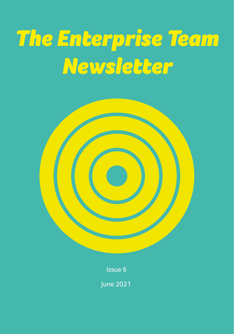# *The Enterprise Team Newsletter*



Issue 6

June 2021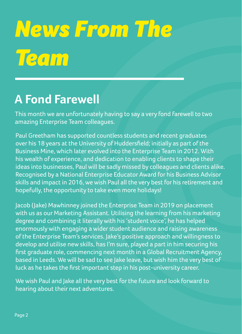# *News From The Team*

### **A Fond Farewell**

This month we are unfortunately having to say a very fond farewell to two amazing Enterprise Team colleagues.

Paul Greetham has supported countless students and recent graduates over his 18 years at the University of Huddersfield; initially as part of the Business Mine, which later evolved into the Enterprise Team in 2012. With his wealth of experience, and dedication to enabling clients to shape their ideas into businesses, Paul will be sadly missed by colleagues and clients alike. Recognised by a National Enterprise Educator Award for his Business Advisor skills and impact in 2016, we wish Paul all the very best for his retirement and hopefully, the opportunity to take even more holidays!

Jacob (Jake) Mawhinney joined the Enterprise Team in 2019 on placement with us as our Marketing Assistant. Utilising the learning from his marketing degree and combining it literally with his 'student voice', he has helped enormously with engaging a wider student audience and raising awareness of the Enterprise Team's services. Jake's positive approach and willingness to develop and utilise new skills, has I'm sure, played a part in him securing his first graduate role, commencing next month in a Global Recruitment Agency, based in Leeds. We will be sad to see Jake leave, but wish him the very best of luck as he takes the first important step in his post-university career.

We wish Paul and Jake all the very best for the future and look forward to hearing about their next adventures.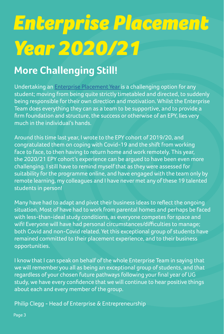# *Enterprise Placement Year 2020/21*

### **More Challenging Still!**

Undertaking an [Enterprise Placement Year i](https://students.hud.ac.uk/opportunities/enterprise/placement-year/)s a challenging option for any student; moving from being quite strictly timetabled and directed, to suddenly being responsible for their own direction and motivation. Whilst the Enterprise Team does everything they can as a team to be supportive, and to provide a firm foundation and structure, the success or otherwise of an EPY, lies very much in the individual's hands.

Around this time last year, I wrote to the EPY cohort of 2019/20, and congratulated them on coping with Covid-19 and the shift from working face to face, to then having to return home and work remotely. This year, the 2020/21 EPY cohort's experience can be argued to have been even more challenging. I still have to remind myself that as they were assessed for suitability for the programme online, and have engaged with the team only by remote learning, my colleagues and I have never met any of these 19 talented students in person!

Many have had to adapt and pivot their business ideas to reflect the ongoing situation. Most of have had to work from parental homes and perhaps be faced with less-than-ideal study conditions, as everyone competes for space and wifi! Everyone will have had personal circumstances/difficulties to manage; both Covid and non-Covid related. Yet this exceptional group of students have remained committed to their placement experience, and to their business opportunities.

I know that I can speak on behalf of the whole Enterprise Team in saying that we will remember you all as being an exceptional group of students, and that regardless of your chosen future pathways following your final year of UG study, we have every confidence that we will continue to hear positive things about each and every member of the group.

Philip Clegg - Head of Enterprise & Entrepreneurship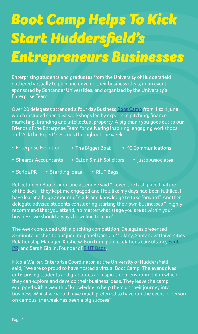## *Boot Camp Helps To Kick Start Huddersfield's Entrepreneurs Businesses*

Enterprising students and graduates from the University of Huddersfield gathered virtually to plan and develop their business ideas, in an event sponsored by Santander Universities, and organised by the University's Enterprise Team.

Over 20 delegates attended a four day Business [Boot Camp](https://students.hud.ac.uk/opportunities/enterprise/workshops/businessbootcamp) from 1 to 4 June which included specialist workshops led by experts in pitching, finance, marketing, branding and intellectual property. A big thank you goes out to our Friends of the Enterprise Team for delivering inspiring, engaging workshops and 'Ask the Expert' sessions throughout the week:

- Enterprise Evolution The Bigger Boat KC Communications
- Sheards Accountants Eaton Smith Solicitors Justo Associates
- Scriba PR Startling Ideas RIUT Bags

Reflecting on Boot Camp, one attendee said "I loved the fast-paced nature of the days - they kept me engaged and I felt like my days had been fulfilled. I have learnt a huge amount of skills and knowledge to take forward". Another delegate advised students considering starting their own businesses "I highly recommend that you attend, no matter what stage you are at within your business, we should always be willing to learn".

The week concluded with a pitching competition. Delegates presented 3-minute pitches to our judging panel Damien Mullany, Santander Universities Relationship Manager, Kirstie Wilson from public relations consultancy [Scriba](https://scribapr.com/)  [PR](https://scribapr.com/), and Sarah Giblin, Founder of [RIUT Bags.](https://www.riut.co.uk/)

Nicola Walker, Enterprise Coordinator at the University of Huddersfield said, "We are so proud to have hosted a virtual Boot Camp. The event gives enterprising students and graduates an inspirational environment in which they can explore and develop their business ideas. They leave the camp equipped with a wealth of knowledge to help them on their journey into business. Whilst we would have much preferred to have run the event in person on campus, the week has been a big success"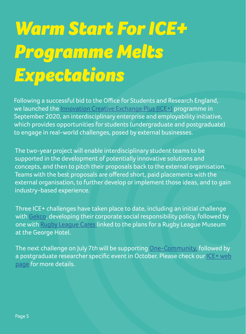## *Warm Start For ICE+ Programme Melts Expectations*

Following a successful bid to the Office for Students and Research England, we launched the [Innovation Creative Exchange Plus \(ICE+\)](https://students.hud.ac.uk/opportunities/enterprise/projects/ice/) programme in September 2020, an interdisciplinary enterprise and employability initiative, which provides opportunities for students (undergraduate and postgraduate) to engage in real-world challenges, posed by external businesses.

The two-year project will enable interdisciplinary student teams to be supported in the development of potentially innovative solutions and concepts, and then to pitch their proposals back to the external organisation. Teams with the best proposals are offered short, paid placements with the external organisation, to further develop or implement those ideas, and to gain industry-based experience.

Three ICE+ challenges have taken place to date, including an initial challenge with [Gekco,](https://www.gekco.uk/) developing their corporate social responsibility policy, followed by one with [Rugby League Cares](https://www.rugbyleaguecares.org/) linked to the plans for a Rugby League Museum at the George Hotel.

The next challenge on July 7th will be supporting [One-Community](http://1community.org.uk/), followed by a postgraduate researcher specific event in October. Please check our ICE+ web [page](https://students.hud.ac.uk/opportunities/enterprise/projects/ice/) for more details.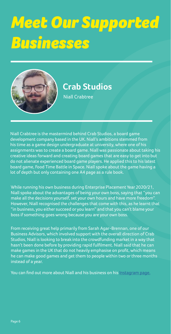# *Meet Our Supported Businesses*



### **Crab Studios**

Niall Crabtree

Niall Crabtree is the mastermind behind Crab Studios, a board game development company based in the UK. Niall's ambitions stemmed from his time as a game design undergraduate at university, where one of his assignments was to create a board game. Niall was passionate about taking his creative ideas forward and creating board games that are easy to get into but do not alienate experienced board game players. He applied this to his latest board game, Food Time Battle in Space. Niall spoke about the game having a lot of depth but only containing one A4 page as a rule book.

While running his own business during Enterprise Placement Year 2020/21, Niall spoke about the advantages of being your own boss, saying that "you can make all the decisions yourself, set your own hours and have more freedom". However, Niall recognised the challenges that come with this, as he learnt that "in business, you either succeed or you learn" and that you can't blame your boss if something goes wrong because you are your own boss.

From receiving great help primarily from Sarah Agar-Brennan, one of our Business Advisors, which involved support with the overall direction of Crab Studios, Niall is looking to break into the crowdfunding market in a way that hasn't been done before by providing rapid fulfilment. Niall said that he can make games in the UK that do not heavily emphasise on profit, which means he can make good games and get them to people within two or three months

#### instead of a year.

You can find out more about Niall and his business on his [Instagram page.](https://www.instagram.com/crab_studio/?hl=en)